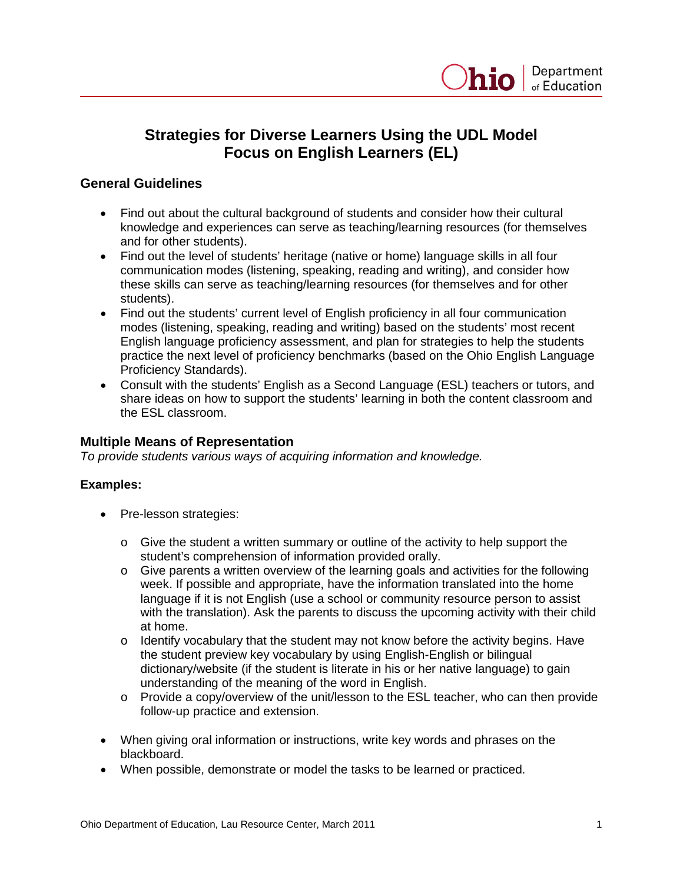# **Strategies for Diverse Learners Using the UDL Model Focus on English Learners (EL)**

## **General Guidelines**

- Find out about the cultural background of students and consider how their cultural knowledge and experiences can serve as teaching/learning resources (for themselves and for other students).
- Find out the level of students' heritage (native or home) language skills in all four communication modes (listening, speaking, reading and writing), and consider how these skills can serve as teaching/learning resources (for themselves and for other students).
- Find out the students' current level of English proficiency in all four communication modes (listening, speaking, reading and writing) based on the students' most recent English language proficiency assessment, and plan for strategies to help the students practice the next level of proficiency benchmarks (based on the Ohio English Language Proficiency Standards).
- Consult with the students' English as a Second Language (ESL) teachers or tutors, and share ideas on how to support the students' learning in both the content classroom and the ESL classroom.

## **Multiple Means of Representation**

*To provide students various ways of acquiring information and knowledge.* 

#### **Examples:**

- Pre-lesson strategies:
	- $\circ$  Give the student a written summary or outline of the activity to help support the student's comprehension of information provided orally.
	- o Give parents a written overview of the learning goals and activities for the following week. If possible and appropriate, have the information translated into the home language if it is not English (use a school or community resource person to assist with the translation). Ask the parents to discuss the upcoming activity with their child at home.
	- $\circ$  Identify vocabulary that the student may not know before the activity begins. Have the student preview key vocabulary by using English-English or bilingual dictionary/website (if the student is literate in his or her native language) to gain understanding of the meaning of the word in English.
	- $\circ$  Provide a copy/overview of the unit/lesson to the ESL teacher, who can then provide follow-up practice and extension.
- When giving oral information or instructions, write key words and phrases on the blackboard.
- When possible, demonstrate or model the tasks to be learned or practiced.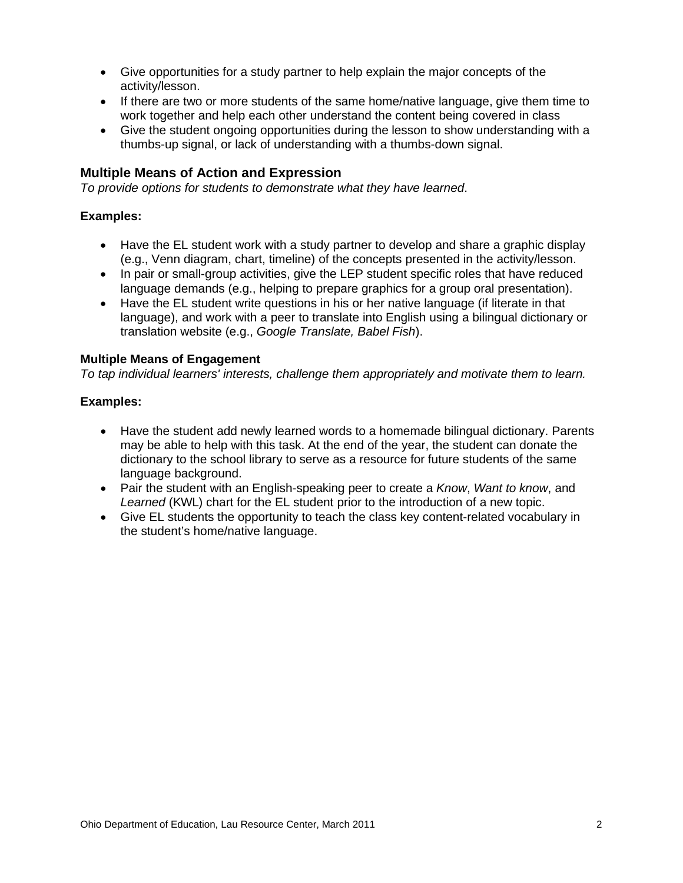- Give opportunities for a study partner to help explain the major concepts of the activity/lesson.
- If there are two or more students of the same home/native language, give them time to work together and help each other understand the content being covered in class
- Give the student ongoing opportunities during the lesson to show understanding with a thumbs-up signal, or lack of understanding with a thumbs-down signal.

## **Multiple Means of Action and Expression**

*To provide options for students to demonstrate what they have learned*.

## **Examples:**

- Have the EL student work with a study partner to develop and share a graphic display (e.g., Venn diagram, chart, timeline) of the concepts presented in the activity/lesson.
- In pair or small-group activities, give the LEP student specific roles that have reduced language demands (e.g., helping to prepare graphics for a group oral presentation).
- Have the EL student write questions in his or her native language (if literate in that language), and work with a peer to translate into English using a bilingual dictionary or translation website (e.g., *Google Translate, Babel Fish*).

#### **Multiple Means of Engagement**

*To tap individual learners' interests, challenge them appropriately and motivate them to learn.*

#### **Examples:**

- Have the student add newly learned words to a homemade bilingual dictionary. Parents may be able to help with this task. At the end of the year, the student can donate the dictionary to the school library to serve as a resource for future students of the same language background.
- Pair the student with an English-speaking peer to create a *Know*, *Want to know*, and *Learned* (KWL) chart for the EL student prior to the introduction of a new topic.
- Give EL students the opportunity to teach the class key content-related vocabulary in the student's home/native language.